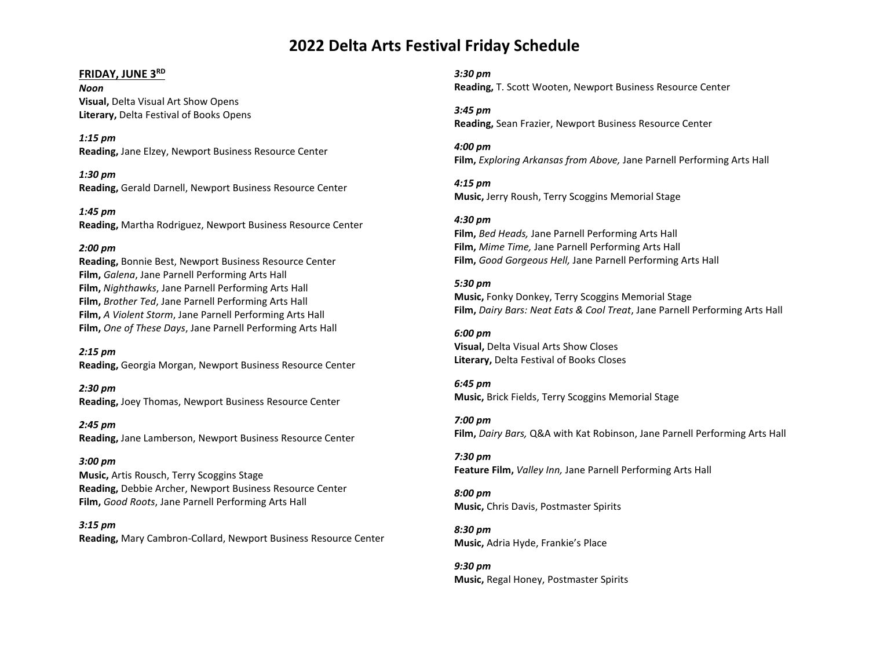# **2022 Delta Arts Festival Friday Schedule**

# **FRIDAY, JUNE 3RD**

*Noon* **Visual,** Delta Visual Art Show Opens **Literary,** Delta Festival of Books Opens

*1:15 pm* **Reading,** Jane Elzey, Newport Business Resource Center

*1:30 pm* **Reading,** Gerald Darnell, Newport Business Resource Center

*1:45 pm* **Reading,** Martha Rodriguez, Newport Business Resource Center

# *2:00 pm*

**Reading,** Bonnie Best, Newport Business Resource Center **Film,** *Galena*, Jane Parnell Performing Arts Hall **Film,** *Nighthawks*, Jane Parnell Performing Arts Hall **Film,** *Brother Ted*, Jane Parnell Performing Arts Hall **Film,** *A Violent Storm*, Jane Parnell Performing Arts Hall **Film,** *One of These Days*, Jane Parnell Performing Arts Hall

*2:15 pm* **Reading,** Georgia Morgan, Newport Business Resource Center

*2:30 pm* **Reading,** Joey Thomas, Newport Business Resource Center

*2:45 pm* **Reading,** Jane Lamberson, Newport Business Resource Center

# *3:00 pm*

**Music,** Artis Rousch, Terry Scoggins Stage **Reading,** Debbie Archer, Newport Business Resource Center **Film,** *Good Roots*, Jane Parnell Performing Arts Hall

*3:15 pm* **Reading,** Mary Cambron-Collard, Newport Business Resource Center *3:30 pm* **Reading,** T. Scott Wooten, Newport Business Resource Center

*3:45 pm* **Reading,** Sean Frazier, Newport Business Resource Center

*4:00 pm*  **Film,** *Exploring Arkansas from Above,* Jane Parnell Performing Arts Hall

*4:15 pm* **Music,** Jerry Roush, Terry Scoggins Memorial Stage

*4:30 pm*  **Film,** *Bed Heads,* Jane Parnell Performing Arts Hall **Film,** *Mime Time,* Jane Parnell Performing Arts Hall **Film,** *Good Gorgeous Hell,* Jane Parnell Performing Arts Hall

# *5:30 pm*

**Music,** Fonky Donkey, Terry Scoggins Memorial Stage **Film,** *Dairy Bars: Neat Eats & Cool Treat*, Jane Parnell Performing Arts Hall

*6:00 pm* **Visual,** Delta Visual Arts Show Closes **Literary,** Delta Festival of Books Closes

*6:45 pm* **Music,** Brick Fields, Terry Scoggins Memorial Stage

*7:00 pm* **Film,** *Dairy Bars,* Q&A with Kat Robinson, Jane Parnell Performing Arts Hall

*7:30 pm* **Feature Film,** *Valley Inn,* Jane Parnell Performing Arts Hall

*8:00 pm* **Music,** Chris Davis, Postmaster Spirits

*8:30 pm* **Music,** Adria Hyde, Frankie's Place

*9:30 pm* **Music,** Regal Honey, Postmaster Spirits